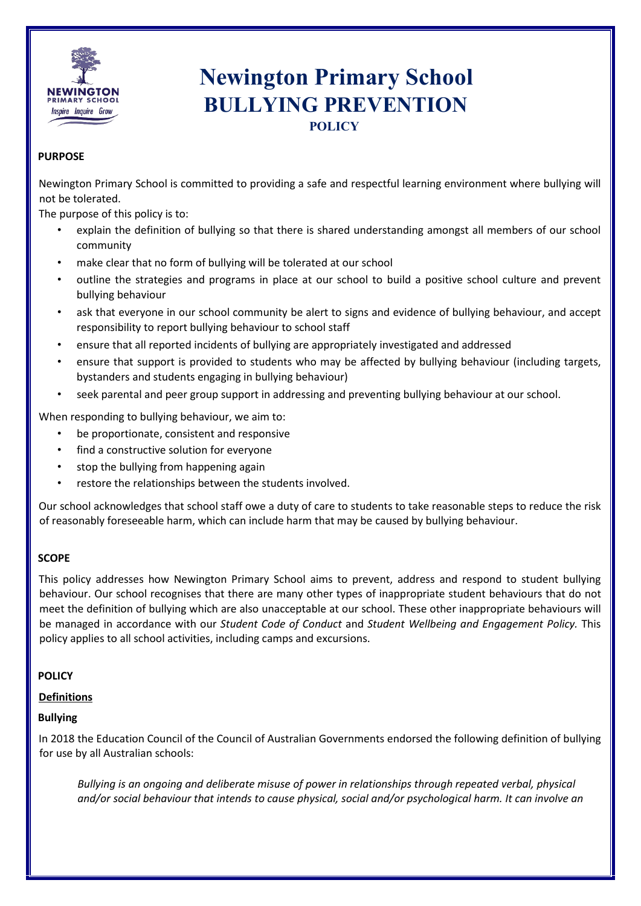

# **Newington Primary School BULLYING PREVENTION**

### **PURPOSE**

Newington Primary School is committed to providing a safe and respectful learning environment where bullying will not be tolerated.

The purpose of this policy is to:

- explain the definition of bullying so that there is shared understanding amongst all members of our school community
- make clear that no form of bullying will be tolerated at our school
- outline the strategies and programs in place at our school to build a positive school culture and prevent bullying behaviour
- ask that everyone in our school community be alert to signs and evidence of bullying behaviour, and accept responsibility to report bullying behaviour to school staff
- ensure that all reported incidents of bullying are appropriately investigated and addressed
- ensure that support is provided to students who may be affected by bullying behaviour (including targets, bystanders and students engaging in bullying behaviour)
- seek parental and peer group support in addressing and preventing bullying behaviour at our school.

When responding to bullying behaviour, we aim to:

- be proportionate, consistent and responsive
- find a constructive solution for everyone
- stop the bullying from happening again
- restore the relationships between the students involved.

Our school acknowledges that school staff owe a duty of care to students to take reasonable steps to reduce the risk of reasonably foreseeable harm, which can include harm that may be caused by bullying behaviour.

#### **SCOPE**

This policy addresses how Newington Primary School aims to prevent, address and respond to student bullying behaviour. Our school recognises that there are many other types of inappropriate student behaviours that do not meet the definition of bullying which are also unacceptable at our school. These other inappropriate behaviours will be managed in accordance with our *Student Code of Conduct* and *Student Wellbeing and Engagement Policy.* This policy applies to all school activities, including camps and excursions.

#### **POLICY**

**Definitions**

#### **Bullying**

In 2018 the Education Council of the Council of Australian Governments endorsed the following definition of bullying for use by all Australian schools:

*Bullying is an ongoing and deliberate misuse of power in relationships through repeated verbal, physical and/or social behaviour that intends to cause physical, social and/or psychological harm. It can involve an*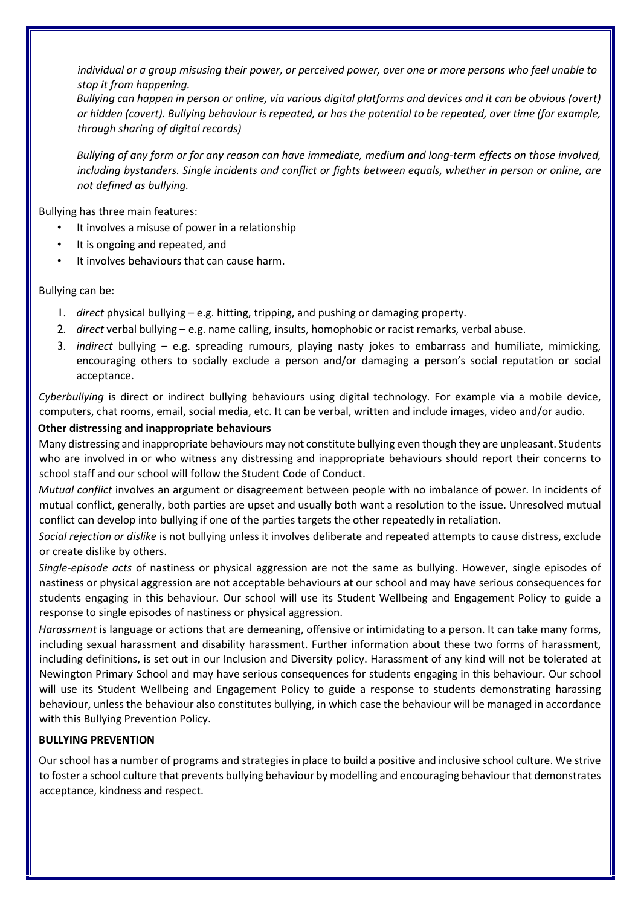*individual or a group misusing their power, or perceived power, over one or more persons who feel unable to stop it from happening.* 

*Bullying can happen in person or online, via various digital platforms and devices and it can be obvious (overt) or hidden (covert). Bullying behaviour is repeated, or has the potential to be repeated, over time (for example, through sharing of digital records)* 

*Bullying of any form or for any reason can have immediate, medium and long-term effects on those involved, including bystanders. Single incidents and conflict or fights between equals, whether in person or online, are not defined as bullying.* 

Bullying has three main features:

- It involves a misuse of power in a relationship
- It is ongoing and repeated, and
- It involves behaviours that can cause harm.

Bullying can be:

- 1. *direct* physical bullying e.g. hitting, tripping, and pushing or damaging property.
- 2. *direct* verbal bullying e.g. name calling, insults, homophobic or racist remarks, verbal abuse.
- 3. *indirect* bullying e.g. spreading rumours, playing nasty jokes to embarrass and humiliate, mimicking, encouraging others to socially exclude a person and/or damaging a person's social reputation or social acceptance.

*Cyberbullying* is direct or indirect bullying behaviours using digital technology. For example via a mobile device, computers, chat rooms, email, social media, etc. It can be verbal, written and include images, video and/or audio.

#### **Other distressing and inappropriate behaviours**

Many distressing and inappropriate behaviours may not constitute bullying even though they are unpleasant. Students who are involved in or who witness any distressing and inappropriate behaviours should report their concerns to school staff and our school will follow the Student Code of Conduct.

*Mutual conflict* involves an argument or disagreement between people with no imbalance of power. In incidents of mutual conflict, generally, both parties are upset and usually both want a resolution to the issue. Unresolved mutual conflict can develop into bullying if one of the parties targets the other repeatedly in retaliation.

*Social rejection or dislike* is not bullying unless it involves deliberate and repeated attempts to cause distress, exclude or create dislike by others.

*Single-episode acts* of nastiness or physical aggression are not the same as bullying. However, single episodes of nastiness or physical aggression are not acceptable behaviours at our school and may have serious consequences for students engaging in this behaviour. Our school will use its Student Wellbeing and Engagement Policy to guide a response to single episodes of nastiness or physical aggression.

*Harassment* is language or actions that are demeaning, offensive or intimidating to a person. It can take many forms, including sexual harassment and disability harassment. Further information about these two forms of harassment, including definitions, is set out in our Inclusion and Diversity policy. Harassment of any kind will not be tolerated at Newington Primary School and may have serious consequences for students engaging in this behaviour. Our school will use its Student Wellbeing and Engagement Policy to guide a response to students demonstrating harassing behaviour, unless the behaviour also constitutes bullying, in which case the behaviour will be managed in accordance with this Bullying Prevention Policy.

## **BULLYING PREVENTION**

Our school has a number of programs and strategies in place to build a positive and inclusive school culture. We strive to foster a school culture that prevents bullying behaviour by modelling and encouraging behaviour that demonstrates acceptance, kindness and respect.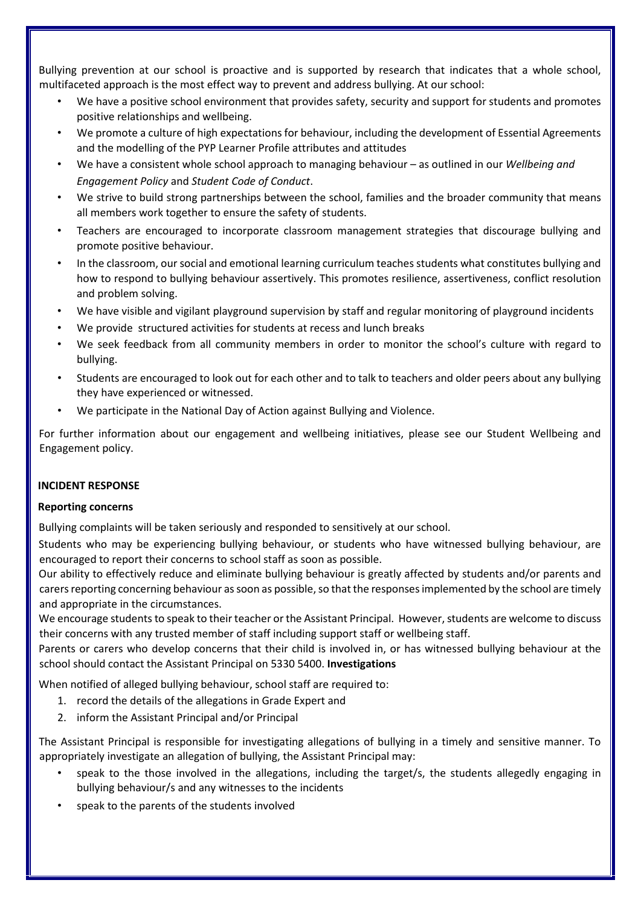Bullying prevention at our school is proactive and is supported by research that indicates that a whole school, multifaceted approach is the most effect way to prevent and address bullying. At our school:

- We have a positive school environment that provides safety, security and support for students and promotes positive relationships and wellbeing.
- We promote a culture of high expectations for behaviour, including the development of Essential Agreements and the modelling of the PYP Learner Profile attributes and attitudes
- We have a consistent whole school approach to managing behaviour as outlined in our *Wellbeing and Engagement Policy* and *Student Code of Conduct*.
- We strive to build strong partnerships between the school, families and the broader community that means all members work together to ensure the safety of students.
- Teachers are encouraged to incorporate classroom management strategies that discourage bullying and promote positive behaviour.
- In the classroom, our social and emotional learning curriculum teaches students what constitutes bullying and how to respond to bullying behaviour assertively. This promotes resilience, assertiveness, conflict resolution and problem solving.
- We have visible and vigilant playground supervision by staff and regular monitoring of playground incidents
- We provide structured activities for students at recess and lunch breaks
- We seek feedback from all community members in order to monitor the school's culture with regard to bullying.
- Students are encouraged to look out for each other and to talk to teachers and older peers about any bullying they have experienced or witnessed.
- We participate in the National Day of Action against Bullying and Violence.

For further information about our engagement and wellbeing initiatives, please see our Student Wellbeing and Engagement policy.

#### **INCIDENT RESPONSE**

#### **Reporting concerns**

Bullying complaints will be taken seriously and responded to sensitively at our school.

Students who may be experiencing bullying behaviour, or students who have witnessed bullying behaviour, are encouraged to report their concerns to school staff as soon as possible.

Our ability to effectively reduce and eliminate bullying behaviour is greatly affected by students and/or parents and carers reporting concerning behaviour as soon as possible, so that the responses implemented by the school are timely and appropriate in the circumstances.

We encourage students to speak to their teacher or the Assistant Principal. However, students are welcome to discuss their concerns with any trusted member of staff including support staff or wellbeing staff.

Parents or carers who develop concerns that their child is involved in, or has witnessed bullying behaviour at the school should contact the Assistant Principal on 5330 5400. **Investigations** 

When notified of alleged bullying behaviour, school staff are required to:

- 1. record the details of the allegations in Grade Expert and
- 2. inform the Assistant Principal and/or Principal

The Assistant Principal is responsible for investigating allegations of bullying in a timely and sensitive manner. To appropriately investigate an allegation of bullying, the Assistant Principal may:

- speak to the those involved in the allegations, including the target/s, the students allegedly engaging in bullying behaviour/s and any witnesses to the incidents
- speak to the parents of the students involved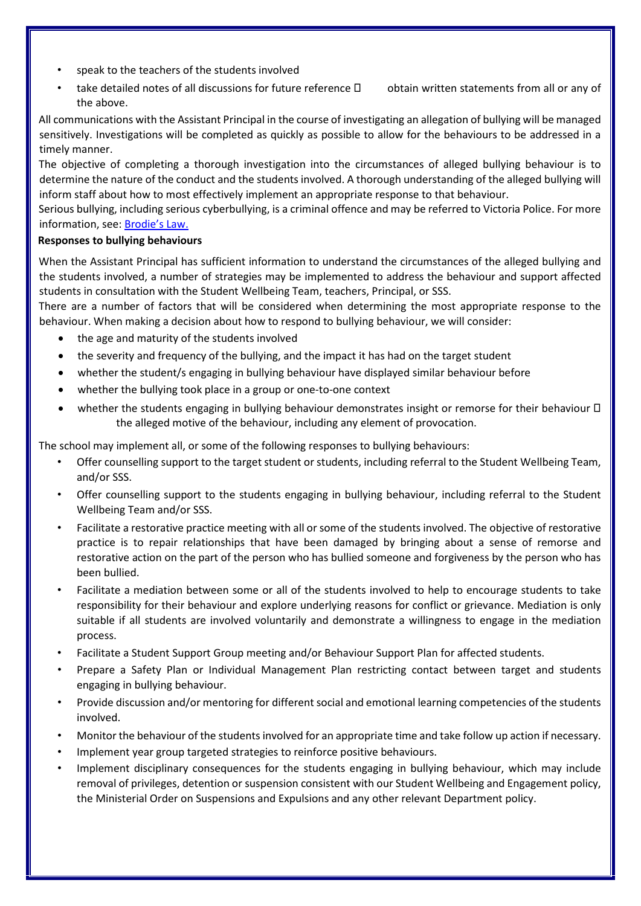- speak to the teachers of the students involved
- take detailed notes of all discussions for future reference  $\Box$  obtain written statements from all or any of the above.

All communications with the Assistant Principal in the course of investigating an allegation of bullying will be managed sensitively. Investigations will be completed as quickly as possible to allow for the behaviours to be addressed in a timely manner.

The objective of completing a thorough investigation into the circumstances of alleged bullying behaviour is to determine the nature of the conduct and the students involved. A thorough understanding of the alleged bullying will inform staff about how to most effectively implement an appropriate response to that behaviour.

Serious bullying, including serious cyberbullying, is a criminal offence and may be referred to Victoria Police. For more information, see[: Brodie's](http://www.education.vic.gov.au/about/programs/bullystoppers/Pages/advicesheetbrodieslaw.aspx) Law[.](http://www.education.vic.gov.au/about/programs/bullystoppers/Pages/advicesheetbrodieslaw.aspx)

## **Responses to bullying behaviours**

When the Assistant Principal has sufficient information to understand the circumstances of the alleged bullying and the students involved, a number of strategies may be implemented to address the behaviour and support affected students in consultation with the Student Wellbeing Team, teachers, Principal, or SSS.

There are a number of factors that will be considered when determining the most appropriate response to the behaviour. When making a decision about how to respond to bullying behaviour, we will consider:

- the age and maturity of the students involved
- the severity and frequency of the bullying, and the impact it has had on the target student
- whether the student/s engaging in bullying behaviour have displayed similar behaviour before
- whether the bullying took place in a group or one-to-one context
- whether the students engaging in bullying behaviour demonstrates insight or remorse for their behaviour  $\Box$ the alleged motive of the behaviour, including any element of provocation.

The school may implement all, or some of the following responses to bullying behaviours:

- Offer counselling support to the target student or students, including referral to the Student Wellbeing Team, and/or SSS.
- Offer counselling support to the students engaging in bullying behaviour, including referral to the Student Wellbeing Team and/or SSS.
- Facilitate a restorative practice meeting with all or some of the students involved. The objective of restorative practice is to repair relationships that have been damaged by bringing about a sense of remorse and restorative action on the part of the person who has bullied someone and forgiveness by the person who has been bullied.
- Facilitate a mediation between some or all of the students involved to help to encourage students to take responsibility for their behaviour and explore underlying reasons for conflict or grievance. Mediation is only suitable if all students are involved voluntarily and demonstrate a willingness to engage in the mediation process.
- Facilitate a Student Support Group meeting and/or Behaviour Support Plan for affected students.
- Prepare a Safety Plan or Individual Management Plan restricting contact between target and students engaging in bullying behaviour.
- Provide discussion and/or mentoring for different social and emotional learning competencies of the students involved.
- Monitor the behaviour of the students involved for an appropriate time and take follow up action if necessary.
- Implement year group targeted strategies to reinforce positive behaviours.
- Implement disciplinary consequences for the students engaging in bullying behaviour, which may include removal of privileges, detention or suspension consistent with our Student Wellbeing and Engagement policy, the Ministerial Order on Suspensions and Expulsions and any other relevant Department policy.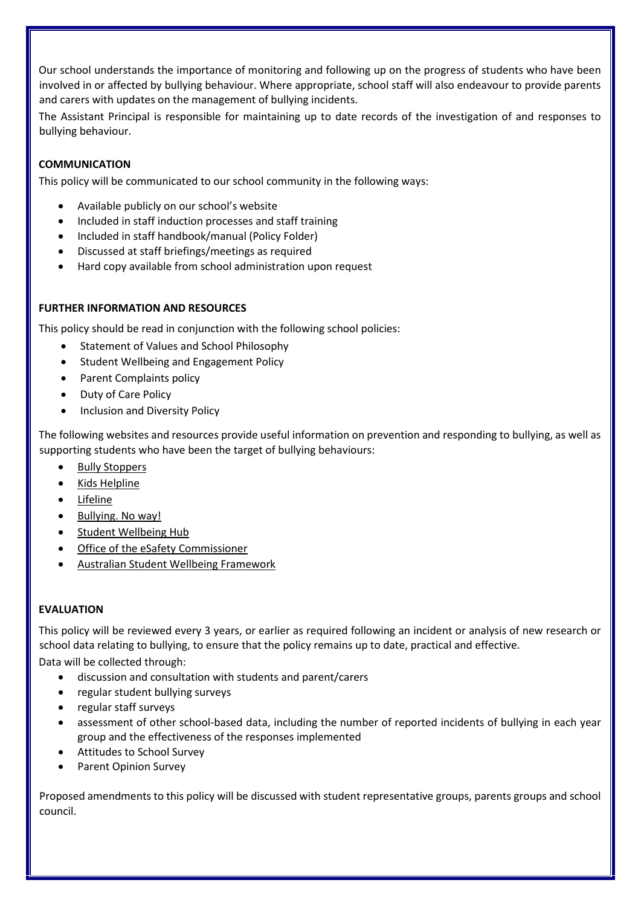Our school understands the importance of monitoring and following up on the progress of students who have been involved in or affected by bullying behaviour. Where appropriate, school staff will also endeavour to provide parents and carers with updates on the management of bullying incidents.

The Assistant Principal is responsible for maintaining up to date records of the investigation of and responses to bullying behaviour.

## **COMMUNICATION**

This policy will be communicated to our school community in the following ways:

- Available publicly on our school's website
- Included in staff induction processes and staff training
- Included in staff handbook/manual (Policy Folder)
- Discussed at staff briefings/meetings as required
- Hard copy available from school administration upon request

## **FURTHER INFORMATION AND RESOURCES**

This policy should be read in conjunction with the following school policies:

- Statement of Values and School Philosophy
- Student Wellbeing and Engagement Policy
- Parent Complaints policy
- Duty of Care Policy
- Inclusion and Diversity Policy

The following websites and resources provide useful information on prevention and responding to bullying, as well as supporting students who have been the target of bullying behaviours:

- [Bully Stoppers](https://www.education.vic.gov.au/about/programs/bullystoppers/Pages/default.aspx)
- [Kids Helpline](https://kidshelpline.com.au/)
- [Lifeline](https://www.lifeline.org.au/)
- [Bullying. No way!](https://bullyingnoway.gov.au/)
- [Student Wellbeing Hub](https://www.studentwellbeinghub.edu.au/)
- [Office of the eSafety Commissioner](https://www.esafety.gov.au/)
- [Australian Student Wellbeing Framework](https://studentwellbeinghub.edu.au/educators/resources/australian-student-wellbeing-framework/)

# **EVALUATION**

This policy will be reviewed every 3 years, or earlier as required following an incident or analysis of new research or school data relating to bullying, to ensure that the policy remains up to date, practical and effective. Data will be collected through:

- discussion and consultation with students and parent/carers
- regular student bullying surveys
- regular staff surveys
- assessment of other school-based data, including the number of reported incidents of bullying in each year group and the effectiveness of the responses implemented
- Attitudes to School Survey
- Parent Opinion Survey

Proposed amendments to this policy will be discussed with student representative groups, parents groups and school council.